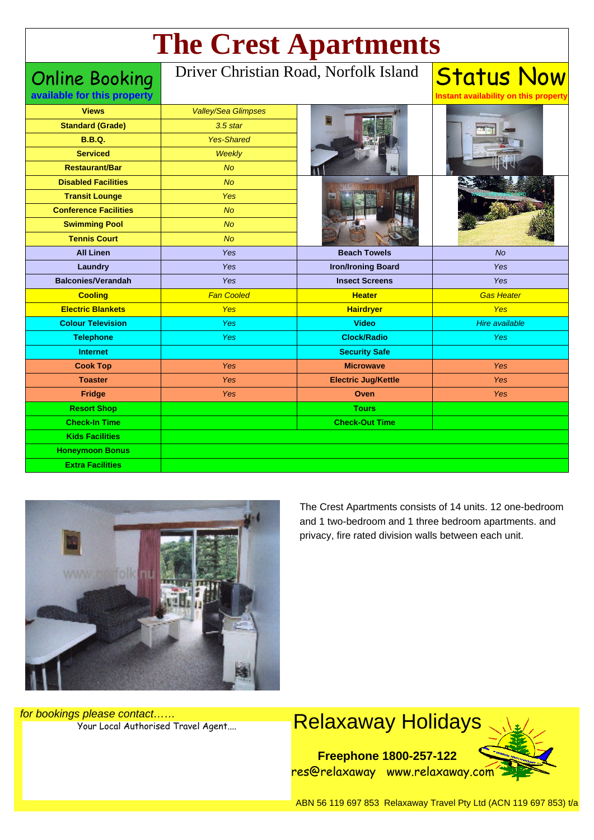# **The Crest Apartments**

Online Booking **available for this property**

#### Driver Christian Road, Norfolk Island

| <b>Views</b>                 | <b>Valley/Sea Glimpses</b> |                            |                       |
|------------------------------|----------------------------|----------------------------|-----------------------|
| <b>Standard (Grade)</b>      | $3.5$ star                 |                            |                       |
| <b>B.B.Q.</b>                | <b>Yes-Shared</b>          |                            |                       |
| <b>Serviced</b>              | Weekly                     |                            |                       |
| <b>Restaurant/Bar</b>        | No                         |                            |                       |
| <b>Disabled Facilities</b>   | <b>No</b>                  |                            |                       |
| <b>Transit Lounge</b>        | Yes                        |                            |                       |
| <b>Conference Facilities</b> | No                         |                            |                       |
| <b>Swimming Pool</b>         | No                         |                            |                       |
| <b>Tennis Court</b>          | <b>No</b>                  |                            |                       |
| <b>All Linen</b>             | Yes                        | <b>Beach Towels</b>        | <b>No</b>             |
| Laundry                      | Yes                        | <b>Iron/Ironing Board</b>  | Yes                   |
| <b>Balconies/Verandah</b>    | Yes                        | <b>Insect Screens</b>      | Yes                   |
| <b>Cooling</b>               | <b>Fan Cooled</b>          | <b>Heater</b>              | <b>Gas Heater</b>     |
|                              |                            |                            |                       |
| <b>Electric Blankets</b>     | <b>Yes</b>                 | <b>Hairdryer</b>           | <b>Yes</b>            |
| <b>Colour Television</b>     | <b>Yes</b>                 | <b>Video</b>               | <b>Hire available</b> |
| <b>Telephone</b>             | Yes                        | <b>Clock/Radio</b>         | Yes                   |
| <b>Internet</b>              |                            | <b>Security Safe</b>       |                       |
| <b>Cook Top</b>              | Yes                        | <b>Microwave</b>           | Yes                   |
| <b>Toaster</b>               | <b>Yes</b>                 | <b>Electric Jug/Kettle</b> | <b>Yes</b>            |
| Fridge                       | Yes                        | Oven                       | <b>Yes</b>            |
| <b>Resort Shop</b>           |                            | <b>Tours</b>               |                       |
| <b>Check-In Time</b>         |                            | <b>Check-Out Time</b>      |                       |
| <b>Kids Facilities</b>       |                            |                            |                       |
| <b>Honeymoon Bonus</b>       |                            |                            |                       |



The Crest Apartments consists of 14 units. 12 one-bedroom and 1 two-bedroom and 1 three bedroom apartments. and privacy, fire rated division walls between each unit.

**Status Now** 

**Instant availability on this property**

for bookings please contact……